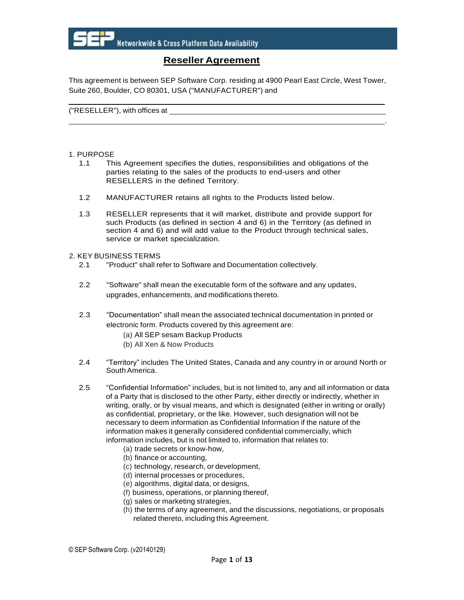

# **Reseller Agreement**

This agreement is between SEP Software Corp. residing at 4900 Pearl East Circle, West Tower, Suite 260, Boulder, CO 80301, USA ("MANUFACTURER") and

.

("RESELLER"), with offices at

#### 1. PURPOSE

- 1.1 This Agreement specifies the duties, responsibilities and obligations of the parties relating to the sales of the products to end-users and other RESELLERS in the defined Territory.
- 1.2 MANUFACTURER retains all rights to the Products listed below.
- 1.3 RESELLER represents that it will market, distribute and provide support for such Products (as defined in section 4 and 6) in the Territory (as defined in section 4 and 6) and will add value to the Product through technical sales, service or market specialization.

#### 2. KEY BUSINESS TERMS

- 2.1 "Product" shall refer to Software and Documentation collectively.
- 2.2 "Software" shall mean the executable form of the software and any updates, upgrades, enhancements, and modifications thereto.
- 2.3 "Documentation" shall mean the associated technical documentation in printed or electronic form. Products covered by this agreement are:
	- (a) All SEP sesam Backup Products
	- (b) All Xen & Now Products
- 2.4 "Territory" includes The United States, Canada and any country in or around North or South America.
- 2.5 "Confidential Information" includes, but is not limited to, any and all information or data of a Party that is disclosed to the other Party, either directly or indirectly, whether in writing, orally, or by visual means, and which is designated (either in writing or orally) as confidential, proprietary, or the like. However, such designation will not be necessary to deem information as Confidential Information if the nature of the information makes it generally considered confidential commercially, which information includes, but is not limited to, information that relates to:
	- (a) trade secrets or know-how,
	- (b) finance or accounting,
	- (c) technology, research, or development,
	- (d) internal processes or procedures,
	- (e) algorithms, digital data, or designs,
	- (f) business, operations, or planning thereof,
	- (g) sales or marketing strategies,
	- (h) the terms of any agreement, and the discussions, negotiations, or proposals related thereto, including this Agreement.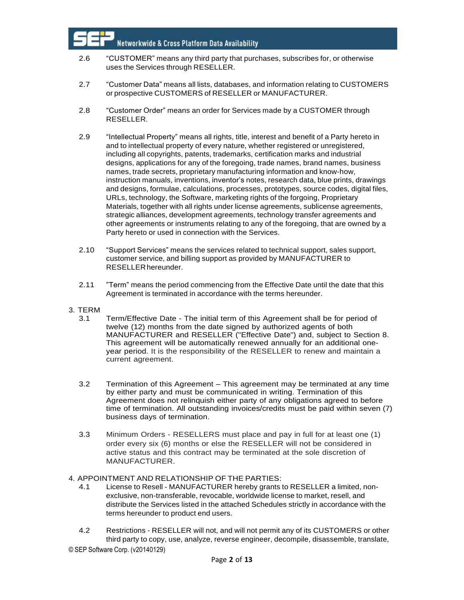- 2.6 "CUSTOMER" means any third party that purchases, subscribes for, or otherwise uses the Services through RESELLER.
- 2.7 "Customer Data" means all lists, databases, and information relating to CUSTOMERS or prospective CUSTOMERS of RESELLER or MANUFACTURER.
- 2.8 "Customer Order" means an order for Services made by a CUSTOMER through RESELLER.
- 2.9 "Intellectual Property" means all rights, title, interest and benefit of a Party hereto in and to intellectual property of every nature, whether registered or unregistered, including all copyrights, patents, trademarks, certification marks and industrial designs, applications for any of the foregoing, trade names, brand names, business names, trade secrets, proprietary manufacturing information and know-how, instruction manuals, inventions, inventor's notes, research data, blue prints, drawings and designs, formulae, calculations, processes, prototypes, source codes, digital files, URLs, technology, the Software, marketing rights of the forgoing, Proprietary Materials, together with all rights under license agreements, sublicense agreements, strategic alliances, development agreements, technology transfer agreements and other agreements or instruments relating to any of the foregoing, that are owned by a Party hereto or used in connection with the Services.
- 2.10 "Support Services" means the services related to technical support, sales support, customer service, and billing support as provided by MANUFACTURER to RESELLERhereunder.
- 2.11 "Term" means the period commencing from the Effective Date until the date that this Agreement is terminated in accordance with the terms hereunder.
- 3. TERM
	- 3.1 Term/Effective Date The initial term of this Agreement shall be for period of twelve (12) months from the date signed by authorized agents of both MANUFACTURER and RESELLER ("Effective Date") and, subject to Section 8. This agreement will be automatically renewed annually for an additional oneyear period. It is the responsibility of the RESELLER to renew and maintain a current agreement.
	- 3.2 Termination of this Agreement This agreement may be terminated at any time by either party and must be communicated in writing. Termination of this Agreement does not relinquish either party of any obligations agreed to before time of termination. All outstanding invoices/credits must be paid within seven (7) business days of termination.
	- 3.3 Minimum Orders RESELLERS must place and pay in full for at least one (1) order every six (6) months or else the RESELLER will not be considered in active status and this contract may be terminated at the sole discretion of MANUFACTURER.
- 4. APPOINTMENT AND RELATIONSHIP OF THE PARTIES:
	- 4.1 License to Resell MANUFACTURER hereby grants to RESELLER a limited, nonexclusive, non-transferable, revocable, worldwide license to market, resell, and distribute the Services listed in the attached Schedules strictly in accordance with the terms hereunder to product end users.
	- 4.2 Restrictions RESELLER will not, and will not permit any of its CUSTOMERS or other third party to copy, use, analyze, reverse engineer, decompile, disassemble, translate,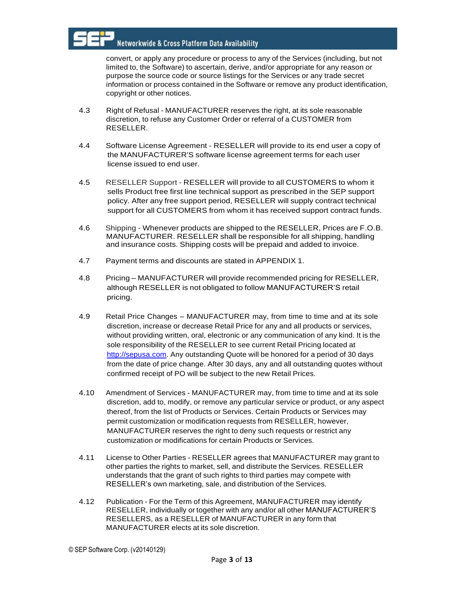convert, or apply any procedure or process to any of the Services (including, but not limited to, the Software) to ascertain, derive, and/or appropriate for any reason or purpose the source code or source listings for the Services or any trade secret information or process contained in the Software or remove any product identification, copyright or other notices.

- 4.3 Right of Refusal MANUFACTURER reserves the right, at its sole reasonable discretion, to refuse any Customer Order or referral of a CUSTOMER from RESELLER.
- 4.4 Software License Agreement RESELLER will provide to its end user a copy of the MANUFACTURER'S software license agreement terms for each user license issued to end user.
- 4.5 RESELLER Support RESELLER will provide to all CUSTOMERS to whom it sells Product free first line technical support as prescribed in the SEP support policy. After any free support period, RESELLER will supply contract technical support for all CUSTOMERS from whom it has received support contract funds.
- 4.6 Shipping Whenever products are shipped to the RESELLER, Prices are F.O.B. MANUFACTURER. RESELLER shall be responsible for all shipping, handling and insurance costs. Shipping costs will be prepaid and added to invoice.
- 4.7 Payment terms and discounts are stated in APPENDIX 1.
- 4.8 Pricing MANUFACTURER will provide recommended pricing for RESELLER, although RESELLER is not obligated to follow MANUFACTURER'S retail pricing.
- 4.9 Retail Price Changes MANUFACTURER may, from time to time and at its sole discretion, increase or decrease Retail Price for any and all products or services, without providing written, oral, electronic or any communication of any kind. It is the sole responsibility of the RESELLER to see current Retail Pricing located at [http://sepusa.com.](http://sepusa.com/) Any outstanding Quote will be honored for a period of 30 days from the date of price change. After 30 days, any and all outstanding quotes without confirmed receipt of PO will be subject to the new Retail Prices.
- 4.10 Amendment of Services MANUFACTURER may, from time to time and at its sole discretion, add to, modify, or remove any particular service or product, or any aspect thereof, from the list of Products or Services. Certain Products or Services may permit customization or modification requests from RESELLER, however, MANUFACTURER reserves the right to deny such requests or restrict any customization or modifications for certain Products or Services.
- 4.11 License to Other Parties RESELLER agrees that MANUFACTURER may grant to other parties the rights to market, sell, and distribute the Services. RESELLER understands that the grant of such rights to third parties may compete with RESELLER's own marketing, sale, and distribution of the Services.
- 4.12 Publication For the Term of this Agreement, MANUFACTURER may identify RESELLER, individually or together with any and/or all other MANUFACTURER'S RESELLERS, as a RESELLER of MANUFACTURER in any form that MANUFACTURER elects at its sole discretion.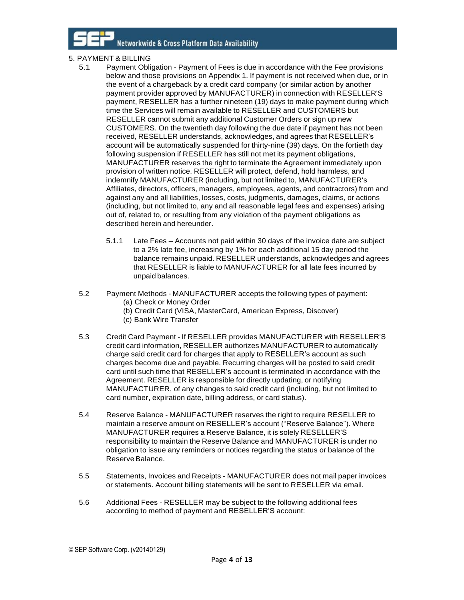## 5. PAYMENT & BILLING

- 5.1 Payment Obligation Payment of Fees is due in accordance with the Fee provisions below and those provisions on Appendix 1. If payment is not received when due, or in the event of a chargeback by a credit card company (or similar action by another payment provider approved by MANUFACTURER) in connection with RESELLER'S payment, RESELLER has a further nineteen (19) days to make payment during which time the Services will remain available to RESELLER and CUSTOMERS but RESELLER cannot submit any additional Customer Orders or sign up new CUSTOMERS. On the twentieth day following the due date if payment has not been received, RESELLER understands, acknowledges, and agrees that RESELLER's account will be automatically suspended for thirty-nine (39) days. On the fortieth day following suspension if RESELLER has still not met its payment obligations, MANUFACTURER reserves the right to terminate the Agreement immediately upon provision of written notice. RESELLER will protect, defend, hold harmless, and indemnify MANUFACTURER (including, but not limited to, MANUFACTURER's Affiliates, directors, officers, managers, employees, agents, and contractors) from and against any and all liabilities, losses, costs, judgments, damages, claims, or actions (including, but not limited to, any and all reasonable legal fees and expenses) arising out of, related to, or resulting from any violation of the payment obligations as described herein and hereunder.
	- 5.1.1 Late Fees Accounts not paid within 30 days of the invoice date are subject to a 2% late fee, increasing by 1% for each additional 15 day period the balance remains unpaid. RESELLER understands, acknowledges and agrees that RESELLER is liable to MANUFACTURER for all late fees incurred by unpaid balances.
- 5.2 Payment Methods MANUFACTURER accepts the following types of payment: (a) Check or Money Order
	- (b) Credit Card (VISA, MasterCard, American Express, Discover)
	- (c) Bank Wire Transfer
- 5.3 Credit Card Payment If RESELLER provides MANUFACTURER with RESELLER'S credit card information, RESELLER authorizes MANUFACTURER to automatically charge said credit card for charges that apply to RESELLER's account as such charges become due and payable. Recurring charges will be posted to said credit card until such time that RESELLER's account is terminated in accordance with the Agreement. RESELLER is responsible for directly updating, or notifying MANUFACTURER, of any changes to said credit card (including, but not limited to card number, expiration date, billing address, or card status).
- 5.4 Reserve Balance MANUFACTURER reserves the right to require RESELLER to maintain a reserve amount on RESELLER's account ("Reserve Balance"). Where MANUFACTURER requires a Reserve Balance, it is solely RESELLER'S responsibility to maintain the Reserve Balance and MANUFACTURER is under no obligation to issue any reminders or notices regarding the status or balance of the Reserve Balance.
- 5.5 Statements, Invoices and Receipts MANUFACTURER does not mail paper invoices or statements. Account billing statements will be sent to RESELLER via email.
- 5.6 Additional Fees RESELLER may be subject to the following additional fees according to method of payment and RESELLER'S account: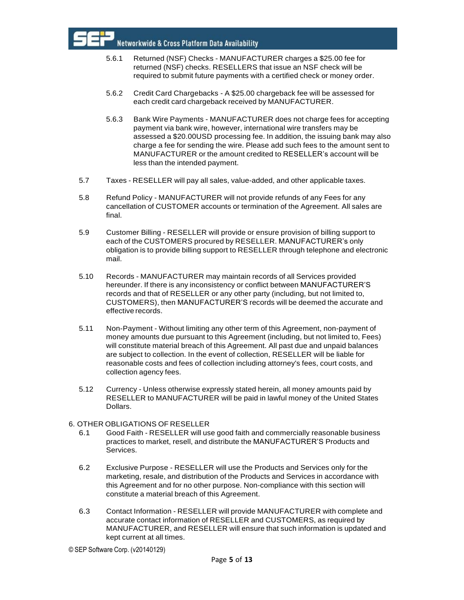

- 5.6.1 Returned (NSF) Checks MANUFACTURER charges a \$25.00 fee for returned (NSF) checks. RESELLERS that issue an NSF check will be required to submit future payments with a certified check or money order.
- 5.6.2 Credit Card Chargebacks A \$25.00 chargeback fee will be assessed for each credit card chargeback received by MANUFACTURER.
- 5.6.3 Bank Wire Payments MANUFACTURER does not charge fees for accepting payment via bank wire, however, international wire transfers may be assessed a \$20.00USD processing fee. In addition, the issuing bank may also charge a fee for sending the wire. Please add such fees to the amount sent to MANUFACTURER or the amount credited to RESELLER's account will be less than the intended payment.
- 5.7 Taxes RESELLER will pay all sales, value-added, and other applicable taxes.
- 5.8 Refund Policy MANUFACTURER will not provide refunds of any Fees for any cancellation of CUSTOMER accounts or termination of the Agreement. All sales are final.
- 5.9 Customer Billing RESELLER will provide or ensure provision of billing support to each of the CUSTOMERS procured by RESELLER. MANUFACTURER's only obligation is to provide billing support to RESELLER through telephone and electronic mail.
- 5.10 Records MANUFACTURER may maintain records of all Services provided hereunder. If there is any inconsistency or conflict between MANUFACTURER'S records and that of RESELLER or any other party (including, but not limited to, CUSTOMERS), then MANUFACTURER'S records will be deemed the accurate and effective records.
- 5.11 Non-Payment Without limiting any other term of this Agreement, non-payment of money amounts due pursuant to this Agreement (including, but not limited to, Fees) will constitute material breach of this Agreement. All past due and unpaid balances are subject to collection. In the event of collection, RESELLER will be liable for reasonable costs and fees of collection including attorney's fees, court costs, and collection agency fees.
- 5.12 Currency Unless otherwise expressly stated herein, all money amounts paid by RESELLER to MANUFACTURER will be paid in lawful money of the United States Dollars.

#### 6. OTHER OBLIGATIONS OF RESELLER

- 6.1 Good Faith RESELLER will use good faith and commercially reasonable business practices to market, resell, and distribute the MANUFACTURER'S Products and Services.
- 6.2 Exclusive Purpose RESELLER will use the Products and Services only for the marketing, resale, and distribution of the Products and Services in accordance with this Agreement and for no other purpose. Non-compliance with this section will constitute a material breach of this Agreement.
- 6.3 Contact Information RESELLER will provide MANUFACTURER with complete and accurate contact information of RESELLER and CUSTOMERS, as required by MANUFACTURER, and RESELLER will ensure that such information is updated and kept current at all times.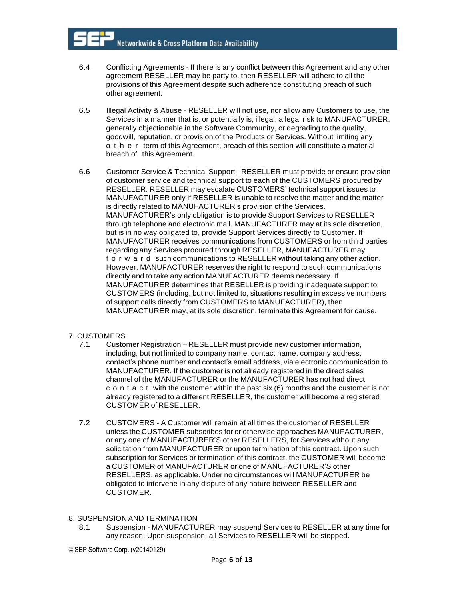- 6.4 Conflicting Agreements If there is any conflict between this Agreement and any other agreement RESELLER may be party to, then RESELLER will adhere to all the provisions of this Agreement despite such adherence constituting breach of such other agreement.
- 6.5 Illegal Activity & Abuse RESELLER will not use, nor allow any Customers to use, the Services in a manner that is, or potentially is, illegal, a legal risk to MANUFACTURER, generally objectionable in the Software Community, or degrading to the quality, goodwill, reputation, or provision of the Products or Services. Without limiting any o t h e r term of this Agreement, breach of this section will constitute a material breach of this Agreement.
- 6.6 Customer Service & Technical Support RESELLER must provide or ensure provision of customer service and technical support to each of the CUSTOMERS procured by RESELLER. RESELLER may escalate CUSTOMERS' technical support issues to MANUFACTURER only if RESELLER is unable to resolve the matter and the matter is directly related to MANUFACTURER's provision of the Services. MANUFACTURER's only obligation is to provide Support Services to RESELLER through telephone and electronic mail. MANUFACTURER may at its sole discretion, but is in no way obligated to, provide Support Services directly to Customer. If MANUFACTURER receives communications from CUSTOMERS or from third parties regarding any Services procured through RESELLER, MANUFACTURER may f o r w a r d such communications to RESELLER without taking any other action. However, MANUFACTURER reserves the right to respond to such communications directly and to take any action MANUFACTURER deems necessary. If MANUFACTURER determines that RESELLER is providing inadequate support to CUSTOMERS (including, but not limited to, situations resulting in excessive numbers of support calls directly from CUSTOMERS to MANUFACTURER), then MANUFACTURER may, at its sole discretion, terminate this Agreement for cause.

## 7. CUSTOMERS

- 7.1 Customer Registration RESELLER must provide new customer information, including, but not limited to company name, contact name, company address, contact's phone number and contact's email address, via electronic communication to MANUFACTURER. If the customer is not already registered in the direct sales channel of the MANUFACTURER or the MANUFACTURER has not had direct c o n t a c t with the customer within the past six (6) months and the customer is not already registered to a different RESELLER, the customer will become a registered CUSTOMER of RESELLER.
- 7.2 CUSTOMERS A Customer will remain at all times the customer of RESELLER unless the CUSTOMER subscribes for or otherwise approaches MANUFACTURER, or any one of MANUFACTURER'S other RESELLERS, for Services without any solicitation from MANUFACTURER or upon termination of this contract. Upon such subscription for Services or termination of this contract, the CUSTOMER will become a CUSTOMER of MANUFACTURER or one of MANUFACTURER'S other RESELLERS, as applicable. Under no circumstances will MANUFACTURER be obligated to intervene in any dispute of any nature between RESELLER and CUSTOMER.

#### 8. SUSPENSION AND TERMINATION

8.1 Suspension - MANUFACTURER may suspend Services to RESELLER at any time for any reason. Upon suspension, all Services to RESELLER will be stopped.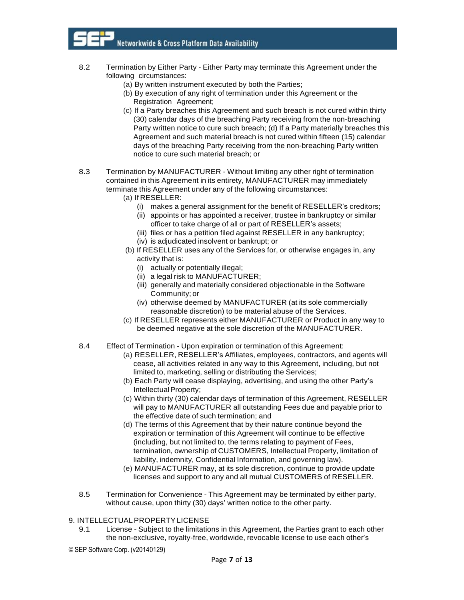- 8.2 Termination by Either Party Either Party may terminate this Agreement under the following circumstances:
	- (a) By written instrument executed by both the Parties;
	- (b) By execution of any right of termination under this Agreement or the Registration Agreement;
	- (c) If a Party breaches this Agreement and such breach is not cured within thirty (30) calendar days of the breaching Party receiving from the non-breaching Party written notice to cure such breach; (d) If a Party materially breaches this Agreement and such material breach is not cured within fifteen (15) calendar days of the breaching Party receiving from the non-breaching Party written notice to cure such material breach; or
- 8.3 Termination by MANUFACTURER Without limiting any other right of termination contained in this Agreement in its entirety, MANUFACTURER may immediately terminate this Agreement under any of the following circumstances:
	- (a) If RESELLER:
		- (i) makes a general assignment for the benefit of RESELLER's creditors;
		- (ii) appoints or has appointed a receiver, trustee in bankruptcy or similar officer to take charge of all or part of RESELLER's assets;
		- (iii) files or has a petition filed against RESELLER in any bankruptcy; (iv) is adjudicated insolvent or bankrupt; or
	- (b) If RESELLER uses any of the Services for, or otherwise engages in, any activity that is:
		- (i) actually or potentially illegal;
		- (ii) a legal risk to MANUFACTURER;
		- (iii) generally and materially considered objectionable in the Software Community; or
		- (iv) otherwise deemed by MANUFACTURER (at its sole commercially reasonable discretion) to be material abuse of the Services.
	- (c) If RESELLER represents either MANUFACTURER or Product in any way to be deemed negative at the sole discretion of the MANUFACTURER.
- 8.4 Effect of Termination Upon expiration or termination of this Agreement:
	- (a) RESELLER, RESELLER's Affiliates, employees, contractors, and agents will cease, all activities related in any way to this Agreement, including, but not limited to, marketing, selling or distributing the Services;
	- (b) Each Party will cease displaying, advertising, and using the other Party's Intellectual Property;
	- (c) Within thirty (30) calendar days of termination of this Agreement, RESELLER will pay to MANUFACTURER all outstanding Fees due and payable prior to the effective date of such termination; and
	- (d) The terms of this Agreement that by their nature continue beyond the expiration or termination of this Agreement will continue to be effective (including, but not limited to, the terms relating to payment of Fees, termination, ownership of CUSTOMERS, Intellectual Property, limitation of liability, indemnity, Confidential Information, and governing law).
	- (e) MANUFACTURER may, at its sole discretion, continue to provide update licenses and support to any and all mutual CUSTOMERS of RESELLER.
- 8.5 Termination for Convenience This Agreement may be terminated by either party, without cause, upon thirty (30) days' written notice to the other party.

#### 9. INTELLECTUALPROPERTYLICENSE

- 9.1 License Subject to the limitations in this Agreement, the Parties grant to each other the non-exclusive, royalty-free, worldwide, revocable license to use each other's
- © SEP Software Corp. (v20140129)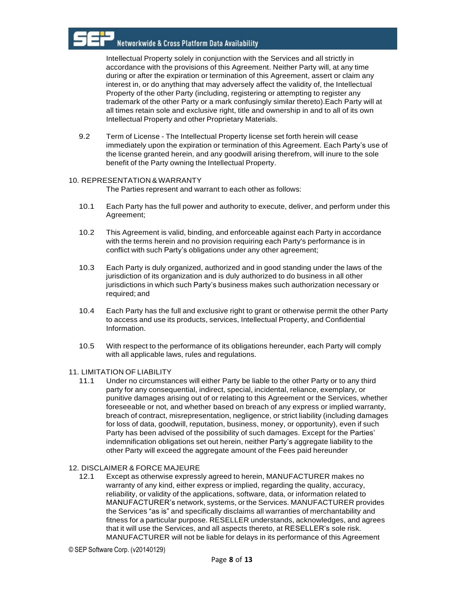Intellectual Property solely in conjunction with the Services and all strictly in accordance with the provisions of this Agreement. Neither Party will, at any time during or after the expiration or termination of this Agreement, assert or claim any interest in, or do anything that may adversely affect the validity of, the Intellectual Property of the other Party (including, registering or attempting to register any trademark of the other Party or a mark confusingly similar thereto).Each Party will at all times retain sole and exclusive right, title and ownership in and to all of its own Intellectual Property and other Proprietary Materials.

9.2 Term of License - The Intellectual Property license set forth herein will cease immediately upon the expiration or termination of this Agreement. Each Party's use of the license granted herein, and any goodwill arising therefrom, will inure to the sole benefit of the Party owning the Intellectual Property.

#### 10. REPRESENTATION & WARRANTY

The Parties represent and warrant to each other as follows:

- 10.1 Each Party has the full power and authority to execute, deliver, and perform under this Agreement;
- 10.2 This Agreement is valid, binding, and enforceable against each Party in accordance with the terms herein and no provision requiring each Party's performance is in conflict with such Party's obligations under any other agreement;
- 10.3 Each Party is duly organized, authorized and in good standing under the laws of the jurisdiction of its organization and is duly authorized to do business in all other jurisdictions in which such Party's business makes such authorization necessary or required; and
- 10.4 Each Party has the full and exclusive right to grant or otherwise permit the other Party to access and use its products, services, Intellectual Property, and Confidential Information.
- 10.5 With respect to the performance of its obligations hereunder, each Party will comply with all applicable laws, rules and regulations.

#### 11. LIMITATION OF LIABILITY

11.1 Under no circumstances will either Party be liable to the other Party or to any third party for any consequential, indirect, special, incidental, reliance, exemplary, or punitive damages arising out of or relating to this Agreement or the Services, whether foreseeable or not, and whether based on breach of any express or implied warranty, breach of contract, misrepresentation, negligence, or strict liability (including damages for loss of data, goodwill, reputation, business, money, or opportunity), even if such Party has been advised of the possibility of such damages. Except for the Parties' indemnification obligations set out herein, neither Party's aggregate liability to the other Party will exceed the aggregate amount of the Fees paid hereunder

## 12. DISCLAIMER & FORCE MAJEURE

12.1 Except as otherwise expressly agreed to herein, MANUFACTURER makes no warranty of any kind, either express or implied, regarding the quality, accuracy, reliability, or validity of the applications, software, data, or information related to MANUFACTURER's network, systems, or the Services. MANUFACTURER provides the Services "as is" and specifically disclaims all warranties of merchantability and fitness for a particular purpose. RESELLER understands, acknowledges, and agrees that it will use the Services, and all aspects thereto, at RESELLER's sole risk. MANUFACTURER will not be liable for delays in its performance of this Agreement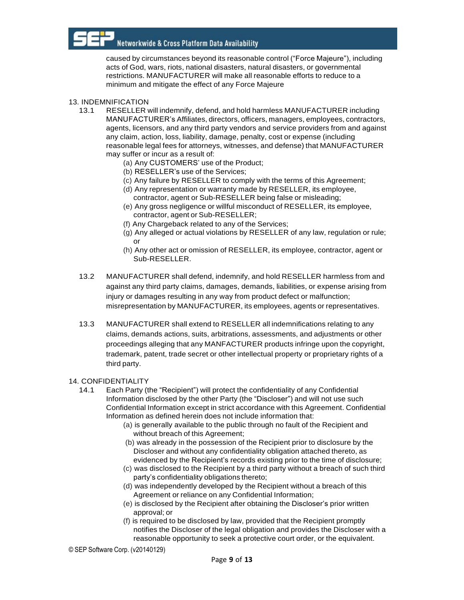

caused by circumstances beyond its reasonable control ("Force Majeure"), including acts of God, wars, riots, national disasters, natural disasters, or governmental restrictions. MANUFACTURER will make all reasonable efforts to reduce to a minimum and mitigate the effect of any Force Majeure

#### 13. INDEMNIFICATION

- 13.1 RESELLER will indemnify, defend, and hold harmless MANUFACTURER including MANUFACTURER's Affiliates, directors, officers, managers, employees, contractors, agents, licensors, and any third party vendors and service providers from and against any claim, action, loss, liability, damage, penalty, cost or expense (including reasonable legal fees for attorneys, witnesses, and defense) that MANUFACTURER may suffer or incur as a result of:
	- (a) Any CUSTOMERS' use of the Product;
	- (b) RESELLER's use of the Services;
	- (c) Any failure by RESELLER to comply with the terms of this Agreement;
	- (d) Any representation or warranty made by RESELLER, its employee, contractor, agent or Sub-RESELLER being false or misleading;
	- (e) Any gross negligence or willful misconduct of RESELLER, its employee, contractor, agent or Sub-RESELLER;
	- (f) Any Chargeback related to any of the Services;
	- (g) Any alleged or actual violations by RESELLER of any law, regulation or rule; or
	- (h) Any other act or omission of RESELLER, its employee, contractor, agent or Sub-RESELLER.
- 13.2 MANUFACTURER shall defend, indemnify, and hold RESELLER harmless from and against any third party claims, damages, demands, liabilities, or expense arising from injury or damages resulting in any way from product defect or malfunction; misrepresentation by MANUFACTURER, its employees, agents or representatives.
- 13.3 MANUFACTURER shall extend to RESELLER all indemnifications relating to any claims, demands actions, suits, arbitrations, assessments, and adjustments or other proceedings alleging that any MANFACTURER products infringe upon the copyright, trademark, patent, trade secret or other intellectual property or proprietary rights of a third party.

#### 14. CONFIDENTIALITY

- 14.1 Each Party (the "Recipient") will protect the confidentiality of any Confidential Information disclosed by the other Party (the "Discloser") and will not use such Confidential Information except in strict accordance with this Agreement. Confidential Information as defined herein does not include information that:
	- (a) is generally available to the public through no fault of the Recipient and without breach of this Agreement;
	- (b) was already in the possession of the Recipient prior to disclosure by the Discloser and without any confidentiality obligation attached thereto, as evidenced by the Recipient's records existing prior to the time of disclosure;
	- (c) was disclosed to the Recipient by a third party without a breach of such third party's confidentiality obligations thereto;
	- (d) was independently developed by the Recipient without a breach of this Agreement or reliance on any Confidential Information;
	- (e) is disclosed by the Recipient after obtaining the Discloser's prior written approval; or
	- (f) is required to be disclosed by law, provided that the Recipient promptly notifies the Discloser of the legal obligation and provides the Discloser with a reasonable opportunity to seek a protective court order, or the equivalent.

© SEP Software Corp. (v20140129)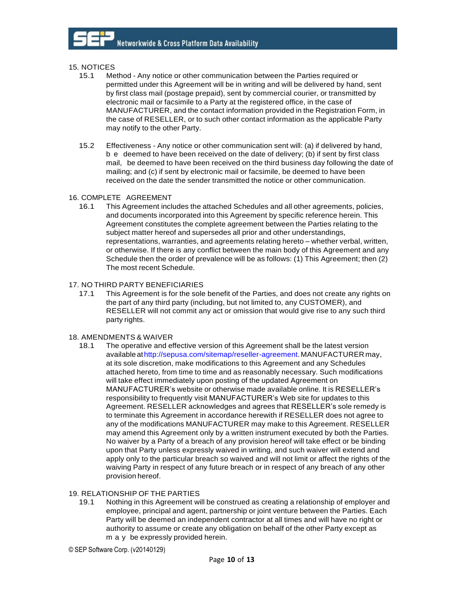#### 15. NOTICES

- 15.1 Method Any notice or other communication between the Parties required or permitted under this Agreement will be in writing and will be delivered by hand, sent by first class mail (postage prepaid), sent by commercial courier, or transmitted by electronic mail or facsimile to a Party at the registered office, in the case of MANUFACTURER, and the contact information provided in the Registration Form, in the case of RESELLER, or to such other contact information as the applicable Party may notify to the other Party.
- 15.2 Effectiveness Any notice or other communication sent will: (a) if delivered by hand, b e deemed to have been received on the date of delivery; (b) if sent by first class mail, be deemed to have been received on the third business day following the date of mailing; and (c) if sent by electronic mail or facsimile, be deemed to have been received on the date the sender transmitted the notice or other communication.

#### 16. COMPLETE AGREEMENT

16.1 This Agreement includes the attached Schedules and all other agreements, policies, and documents incorporated into this Agreement by specific reference herein. This Agreement constitutes the complete agreement between the Parties relating to the subject matter hereof and supersedes all prior and other understandings, representations, warranties, and agreements relating hereto – whether verbal, written, or otherwise. If there is any conflict between the main body of this Agreement and any Schedule then the order of prevalence will be as follows: (1) This Agreement; then (2) The most recent Schedule.

#### 17. NO THIRD PARTY BENEFICIARIES

17.1 This Agreement is for the sole benefit of the Parties, and does not create any rights on the part of any third party (including, but not limited to, any CUSTOMER), and RESELLER will not commit any act or omission that would give rise to any such third party rights.

#### 18. AMENDMENTS & WAIVER

18.1 The operative and effective version of this Agreement shall be the latest version available a[thttp://sepusa.com/sitemap/reseller-agreement.M](http://sepusa.com/sitemap/reseller-agreement)ANUFACTURER may, at its sole discretion, make modifications to this Agreement and any Schedules attached hereto, from time to time and as reasonably necessary. Such modifications will take effect immediately upon posting of the updated Agreement on MANUFACTURER's website or otherwise made available online. It is RESELLER's responsibility to frequently visit MANUFACTURER's Web site for updates to this Agreement. RESELLER acknowledges and agrees that RESELLER's sole remedy is to terminate this Agreement in accordance herewith if RESELLER does not agree to any of the modifications MANUFACTURER may make to this Agreement. RESELLER may amend this Agreement only by a written instrument executed by both the Parties. No waiver by a Party of a breach of any provision hereof will take effect or be binding upon that Party unless expressly waived in writing, and such waiver will extend and apply only to the particular breach so waived and will not limit or affect the rights of the waiving Party in respect of any future breach or in respect of any breach of any other provision hereof.

#### 19. RELATIONSHIP OF THE PARTIES

19.1 Nothing in this Agreement will be construed as creating a relationship of employer and employee, principal and agent, partnership or joint venture between the Parties. Each Party will be deemed an independent contractor at all times and will have no right or authority to assume or create any obligation on behalf of the other Party except as m a y be expressly provided herein.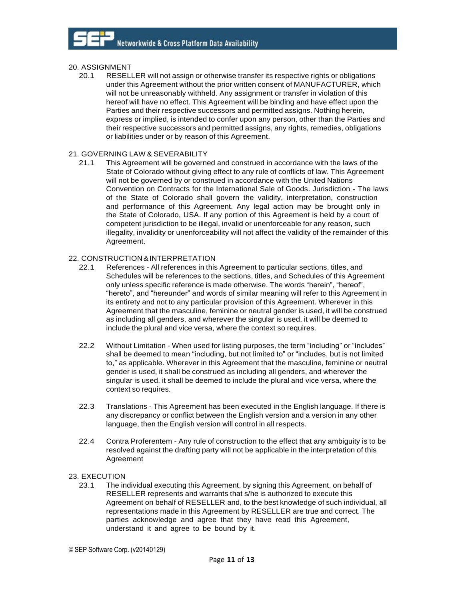#### 20. ASSIGNMENT

20.1 RESELLER will not assign or otherwise transfer its respective rights or obligations under this Agreement without the prior written consent of MANUFACTURER, which will not be unreasonably withheld. Any assignment or transfer in violation of this hereof will have no effect. This Agreement will be binding and have effect upon the Parties and their respective successors and permitted assigns. Nothing herein, express or implied, is intended to confer upon any person, other than the Parties and their respective successors and permitted assigns, any rights, remedies, obligations or liabilities under or by reason of this Agreement.

#### 21. GOVERNING LAW & SEVERABILITY

21.1 This Agreement will be governed and construed in accordance with the laws of the State of Colorado without giving effect to any rule of conflicts of law. This Agreement will not be governed by or construed in accordance with the United Nations Convention on Contracts for the International Sale of Goods. Jurisdiction - The laws of the State of Colorado shall govern the validity, interpretation, construction and performance of this Agreement. Any legal action may be brought only in the State of Colorado, USA. If any portion of this Agreement is held by a court of competent jurisdiction to be illegal, invalid or unenforceable for any reason, such illegality, invalidity or unenforceability will not affect the validity of the remainder of this Agreement.

#### 22. CONSTRUCTION &INTERPRETATION

- 22.1 References All references in this Agreement to particular sections, titles, and Schedules will be references to the sections, titles, and Schedules of this Agreement only unless specific reference is made otherwise. The words "herein", "hereof", "hereto", and "hereunder" and words of similar meaning will refer to this Agreement in its entirety and not to any particular provision of this Agreement. Wherever in this Agreement that the masculine, feminine or neutral gender is used, it will be construed as including all genders, and wherever the singular is used, it will be deemed to include the plural and vice versa, where the context so requires.
- 22.2 Without Limitation When used for listing purposes, the term "including" or "includes" shall be deemed to mean "including, but not limited to" or "includes, but is not limited to," as applicable. Wherever in this Agreement that the masculine, feminine or neutral gender is used, it shall be construed as including all genders, and wherever the singular is used, it shall be deemed to include the plural and vice versa, where the context so requires.
- 22.3 Translations This Agreement has been executed in the English language. If there is any discrepancy or conflict between the English version and a version in any other language, then the English version will control in all respects.
- 22.4 Contra Proferentem Any rule of construction to the effect that any ambiguity is to be resolved against the drafting party will not be applicable in the interpretation of this Agreement
- 23. EXECUTION
	- 23.1 The individual executing this Agreement, by signing this Agreement, on behalf of RESELLER represents and warrants that s/he is authorized to execute this Agreement on behalf of RESELLER and, to the best knowledge of such individual, all representations made in this Agreement by RESELLER are true and correct. The parties acknowledge and agree that they have read this Agreement, understand it and agree to be bound by it.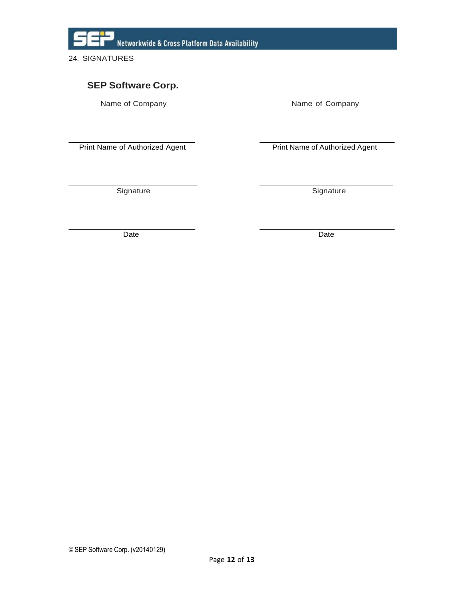

# **SEP Software Corp.**

Name of Company Name of Company

Print Name of Authorized Agent **Print Name of Authorized Agent** 

Signature Signature Signature

Date **Date Date Date Date Date Date**